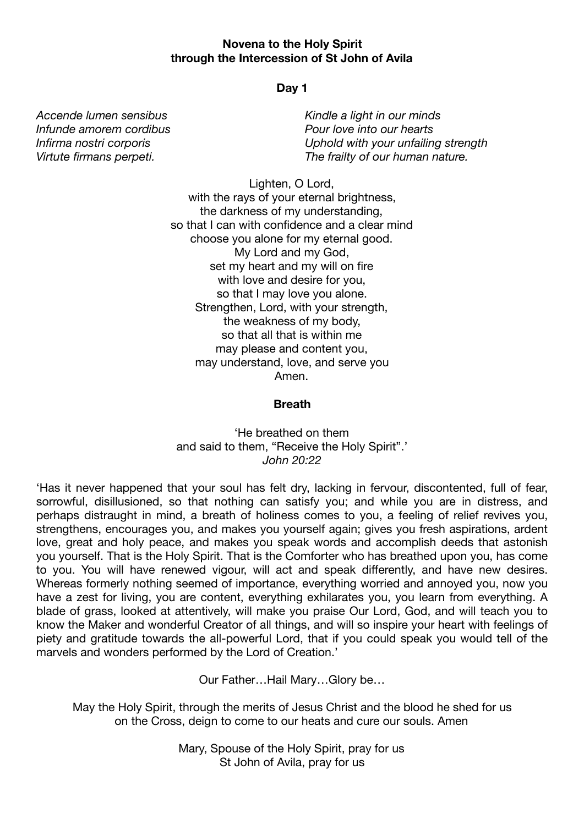## **Novena to the Holy Spirit through the Intercession of St John of Avila**

# **Day 1**

*Accende lumen sensibus Infunde amorem cordibus Infirma nostri corporis Virtute firmans perpeti.* 

*Kindle a light in our minds Pour love into our hearts Uphold with your unfailing strength The frailty of our human nature.*

Lighten, O Lord,

with the rays of your eternal brightness, the darkness of my understanding, so that I can with confidence and a clear mind choose you alone for my eternal good. My Lord and my God, set my heart and my will on fire with love and desire for you, so that I may love you alone. Strengthen, Lord, with your strength, the weakness of my body, so that all that is within me may please and content you, may understand, love, and serve you Amen.

## **Breath**

'He breathed on them and said to them, "Receive the Holy Spirit".' *John 20:22*

'Has it never happened that your soul has felt dry, lacking in fervour, discontented, full of fear, sorrowful, disillusioned, so that nothing can satisfy you; and while you are in distress, and perhaps distraught in mind, a breath of holiness comes to you, a feeling of relief revives you, strengthens, encourages you, and makes you yourself again; gives you fresh aspirations, ardent love, great and holy peace, and makes you speak words and accomplish deeds that astonish you yourself. That is the Holy Spirit. That is the Comforter who has breathed upon you, has come to you. You will have renewed vigour, will act and speak differently, and have new desires. Whereas formerly nothing seemed of importance, everything worried and annoyed you, now you have a zest for living, you are content, everything exhilarates you, you learn from everything. A blade of grass, looked at attentively, will make you praise Our Lord, God, and will teach you to know the Maker and wonderful Creator of all things, and will so inspire your heart with feelings of piety and gratitude towards the all-powerful Lord, that if you could speak you would tell of the marvels and wonders performed by the Lord of Creation.'

Our Father…Hail Mary…Glory be…

May the Holy Spirit, through the merits of Jesus Christ and the blood he shed for us on the Cross, deign to come to our heats and cure our souls. Amen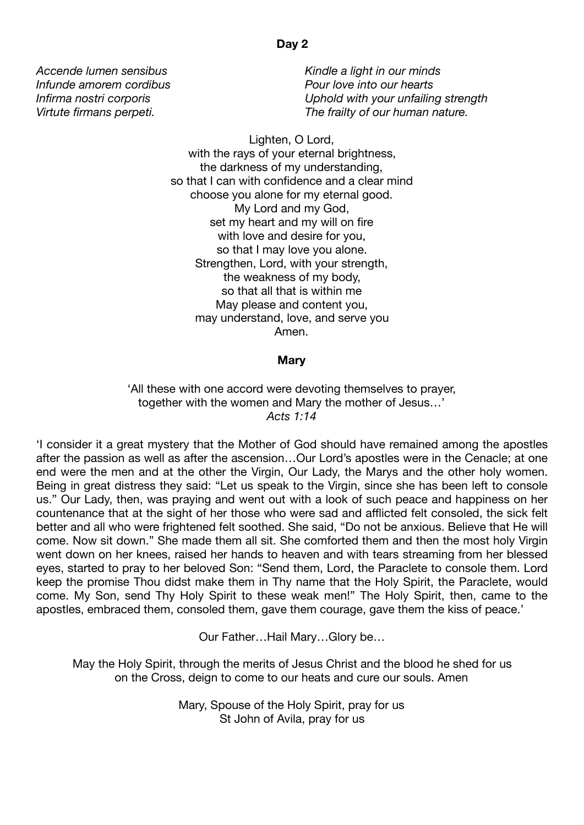*Kindle a light in our minds Pour love into our hearts Uphold with your unfailing strength The frailty of our human nature.*

Lighten, O Lord, with the rays of your eternal brightness, the darkness of my understanding, so that I can with confidence and a clear mind choose you alone for my eternal good. My Lord and my God, set my heart and my will on fire with love and desire for you, so that I may love you alone. Strengthen, Lord, with your strength, the weakness of my body, so that all that is within me May please and content you, may understand, love, and serve you Amen.

#### **Mary**

'All these with one accord were devoting themselves to prayer, together with the women and Mary the mother of Jesus…' *Acts 1:14*

'I consider it a great mystery that the Mother of God should have remained among the apostles after the passion as well as after the ascension…Our Lord's apostles were in the Cenacle; at one end were the men and at the other the Virgin, Our Lady, the Marys and the other holy women. Being in great distress they said: "Let us speak to the Virgin, since she has been left to console us." Our Lady, then, was praying and went out with a look of such peace and happiness on her countenance that at the sight of her those who were sad and afflicted felt consoled, the sick felt better and all who were frightened felt soothed. She said, "Do not be anxious. Believe that He will come. Now sit down." She made them all sit. She comforted them and then the most holy Virgin went down on her knees, raised her hands to heaven and with tears streaming from her blessed eyes, started to pray to her beloved Son: "Send them, Lord, the Paraclete to console them. Lord keep the promise Thou didst make them in Thy name that the Holy Spirit, the Paraclete, would come. My Son, send Thy Holy Spirit to these weak men!" The Holy Spirit, then, came to the apostles, embraced them, consoled them, gave them courage, gave them the kiss of peace.'

Our Father…Hail Mary…Glory be…

May the Holy Spirit, through the merits of Jesus Christ and the blood he shed for us on the Cross, deign to come to our heats and cure our souls. Amen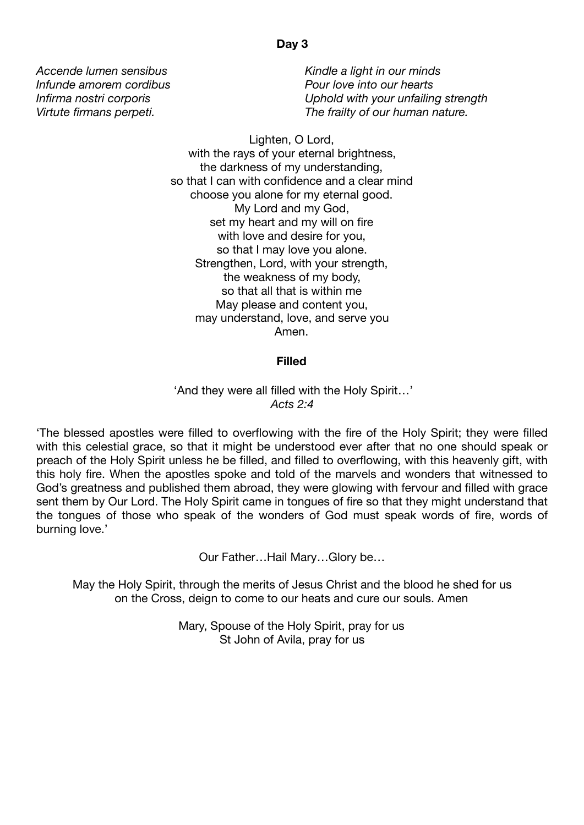*Kindle a light in our minds Pour love into our hearts Uphold with your unfailing strength The frailty of our human nature.*

Lighten, O Lord, with the rays of your eternal brightness, the darkness of my understanding, so that I can with confidence and a clear mind choose you alone for my eternal good. My Lord and my God, set my heart and my will on fire with love and desire for you, so that I may love you alone. Strengthen, Lord, with your strength, the weakness of my body, so that all that is within me May please and content you, may understand, love, and serve you Amen.

#### **Filled**

'And they were all filled with the Holy Spirit…' *Acts 2:4*

'The blessed apostles were filled to overflowing with the fire of the Holy Spirit; they were filled with this celestial grace, so that it might be understood ever after that no one should speak or preach of the Holy Spirit unless he be filled, and filled to overflowing, with this heavenly gift, with this holy fire. When the apostles spoke and told of the marvels and wonders that witnessed to God's greatness and published them abroad, they were glowing with fervour and filled with grace sent them by Our Lord. The Holy Spirit came in tongues of fire so that they might understand that the tongues of those who speak of the wonders of God must speak words of fire, words of burning love.'

Our Father…Hail Mary…Glory be…

May the Holy Spirit, through the merits of Jesus Christ and the blood he shed for us on the Cross, deign to come to our heats and cure our souls. Amen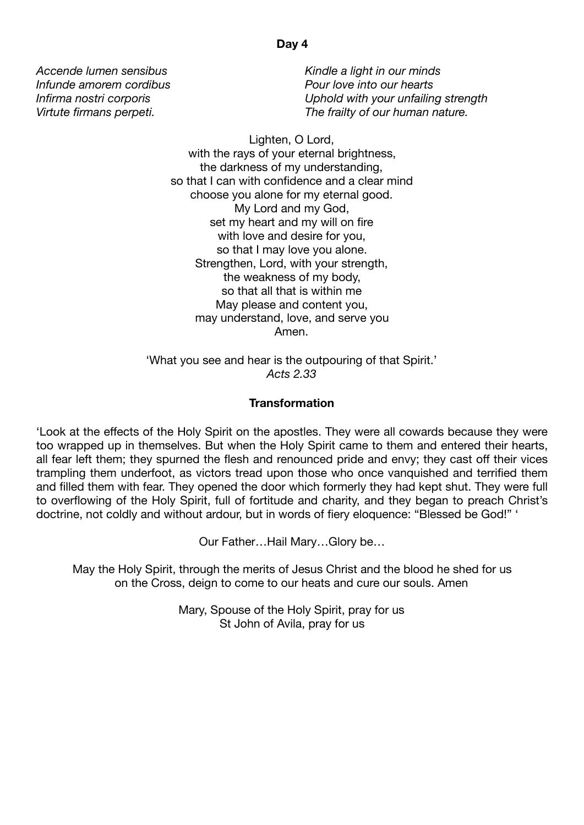*Kindle a light in our minds Pour love into our hearts Uphold with your unfailing strength The frailty of our human nature.*

Lighten, O Lord, with the rays of your eternal brightness, the darkness of my understanding, so that I can with confidence and a clear mind choose you alone for my eternal good. My Lord and my God, set my heart and my will on fire with love and desire for you, so that I may love you alone. Strengthen, Lord, with your strength, the weakness of my body, so that all that is within me May please and content you, may understand, love, and serve you Amen.

'What you see and hear is the outpouring of that Spirit.' *Acts 2.33* 

# **Transformation**

'Look at the effects of the Holy Spirit on the apostles. They were all cowards because they were too wrapped up in themselves. But when the Holy Spirit came to them and entered their hearts, all fear left them; they spurned the flesh and renounced pride and envy; they cast off their vices trampling them underfoot, as victors tread upon those who once vanquished and terrified them and filled them with fear. They opened the door which formerly they had kept shut. They were full to overflowing of the Holy Spirit, full of fortitude and charity, and they began to preach Christ's doctrine, not coldly and without ardour, but in words of fiery eloquence: "Blessed be God!" '

Our Father…Hail Mary…Glory be…

May the Holy Spirit, through the merits of Jesus Christ and the blood he shed for us on the Cross, deign to come to our heats and cure our souls. Amen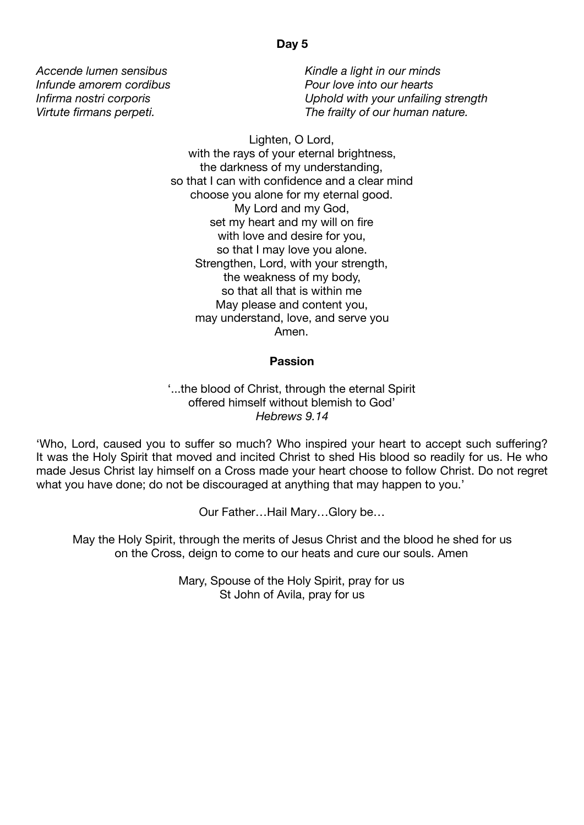*Kindle a light in our minds Pour love into our hearts Uphold with your unfailing strength The frailty of our human nature.*

Lighten, O Lord, with the rays of your eternal brightness, the darkness of my understanding, so that I can with confidence and a clear mind choose you alone for my eternal good. My Lord and my God, set my heart and my will on fire with love and desire for you, so that I may love you alone. Strengthen, Lord, with your strength, the weakness of my body, so that all that is within me May please and content you, may understand, love, and serve you Amen.

## **Passion**

'...the blood of Christ, through the eternal Spirit offered himself without blemish to God' *Hebrews 9.14* 

'Who, Lord, caused you to suffer so much? Who inspired your heart to accept such suffering? It was the Holy Spirit that moved and incited Christ to shed His blood so readily for us. He who made Jesus Christ lay himself on a Cross made your heart choose to follow Christ. Do not regret what you have done; do not be discouraged at anything that may happen to you.'

Our Father…Hail Mary…Glory be…

May the Holy Spirit, through the merits of Jesus Christ and the blood he shed for us on the Cross, deign to come to our heats and cure our souls. Amen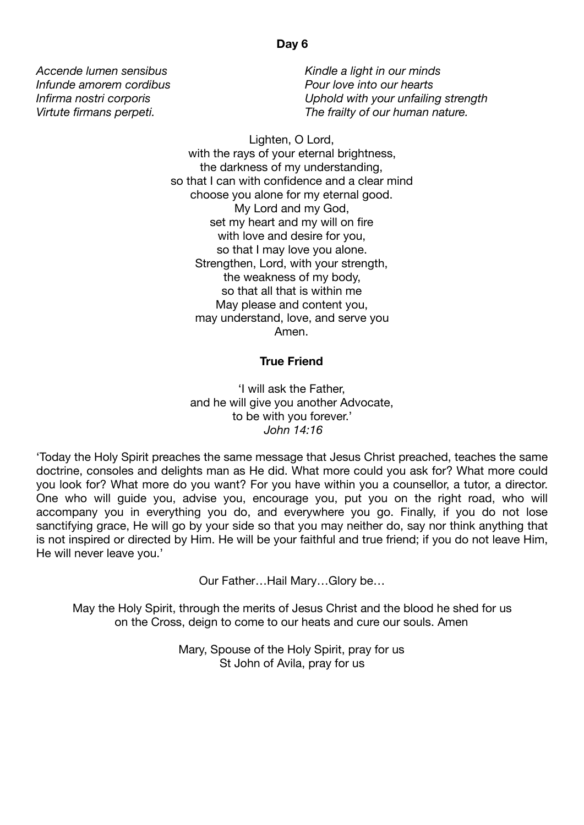*Kindle a light in our minds Pour love into our hearts Uphold with your unfailing strength The frailty of our human nature.*

Lighten, O Lord, with the rays of your eternal brightness, the darkness of my understanding, so that I can with confidence and a clear mind choose you alone for my eternal good. My Lord and my God, set my heart and my will on fire with love and desire for you, so that I may love you alone. Strengthen, Lord, with your strength, the weakness of my body, so that all that is within me May please and content you, may understand, love, and serve you Amen.

## **True Friend**

'I will ask the Father, and he will give you another Advocate, to be with you forever.'  *John 14:16*

'Today the Holy Spirit preaches the same message that Jesus Christ preached, teaches the same doctrine, consoles and delights man as He did. What more could you ask for? What more could you look for? What more do you want? For you have within you a counsellor, a tutor, a director. One who will guide you, advise you, encourage you, put you on the right road, who will accompany you in everything you do, and everywhere you go. Finally, if you do not lose sanctifying grace, He will go by your side so that you may neither do, say nor think anything that is not inspired or directed by Him. He will be your faithful and true friend; if you do not leave Him, He will never leave you.'

Our Father…Hail Mary…Glory be…

May the Holy Spirit, through the merits of Jesus Christ and the blood he shed for us on the Cross, deign to come to our heats and cure our souls. Amen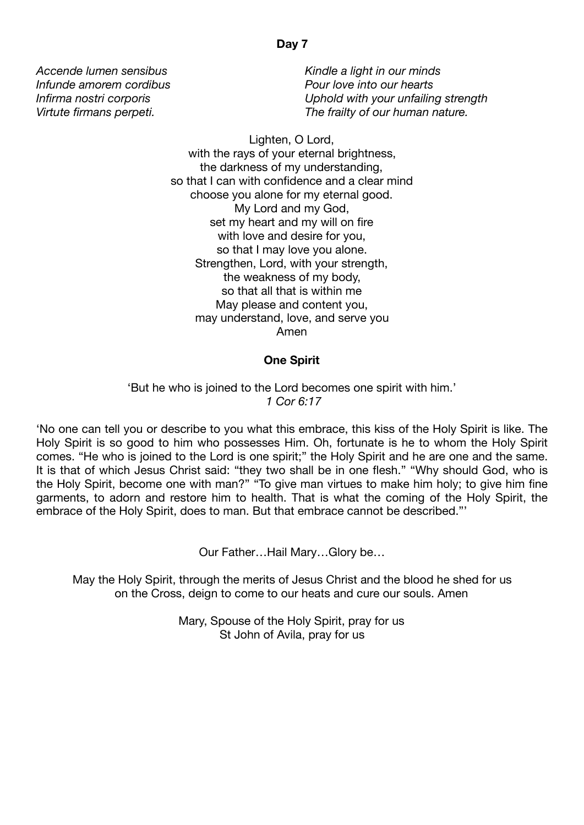*Kindle a light in our minds Pour love into our hearts Uphold with your unfailing strength The frailty of our human nature.*

Lighten, O Lord, with the rays of your eternal brightness, the darkness of my understanding, so that I can with confidence and a clear mind choose you alone for my eternal good. My Lord and my God, set my heart and my will on fire with love and desire for you, so that I may love you alone. Strengthen, Lord, with your strength, the weakness of my body, so that all that is within me May please and content you, may understand, love, and serve you Amen

# **One Spirit**

'But he who is joined to the Lord becomes one spirit with him.'  *1 Cor 6:17*

'No one can tell you or describe to you what this embrace, this kiss of the Holy Spirit is like. The Holy Spirit is so good to him who possesses Him. Oh, fortunate is he to whom the Holy Spirit comes. "He who is joined to the Lord is one spirit;" the Holy Spirit and he are one and the same. It is that of which Jesus Christ said: "they two shall be in one flesh." "Why should God, who is the Holy Spirit, become one with man?" "To give man virtues to make him holy; to give him fine garments, to adorn and restore him to health. That is what the coming of the Holy Spirit, the embrace of the Holy Spirit, does to man. But that embrace cannot be described."'

Our Father…Hail Mary…Glory be…

May the Holy Spirit, through the merits of Jesus Christ and the blood he shed for us on the Cross, deign to come to our heats and cure our souls. Amen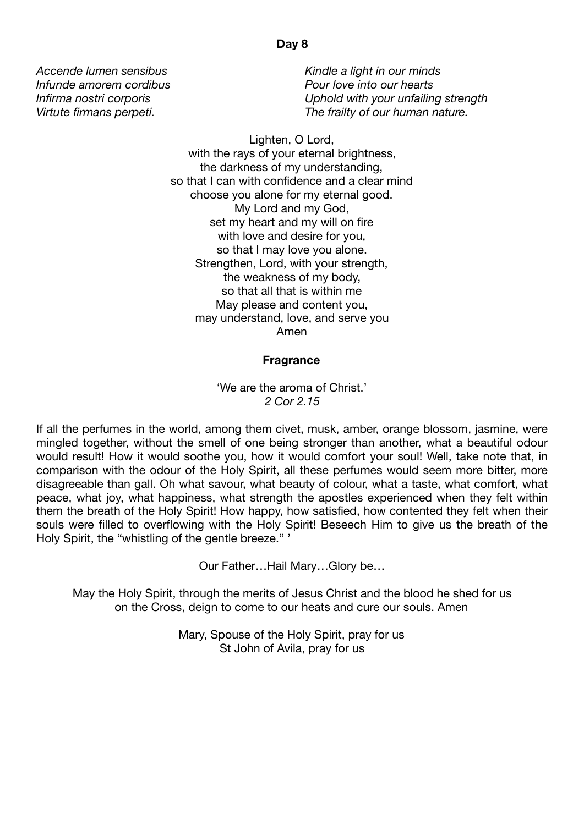*Kindle a light in our minds Pour love into our hearts Uphold with your unfailing strength The frailty of our human nature.*

Lighten, O Lord, with the rays of your eternal brightness, the darkness of my understanding, so that I can with confidence and a clear mind choose you alone for my eternal good. My Lord and my God, set my heart and my will on fire with love and desire for you, so that I may love you alone. Strengthen, Lord, with your strength, the weakness of my body, so that all that is within me May please and content you, may understand, love, and serve you Amen

#### **Fragrance**

'We are the aroma of Christ.' *2 Cor 2.15* 

If all the perfumes in the world, among them civet, musk, amber, orange blossom, jasmine, were mingled together, without the smell of one being stronger than another, what a beautiful odour would result! How it would soothe you, how it would comfort your soul! Well, take note that, in comparison with the odour of the Holy Spirit, all these perfumes would seem more bitter, more disagreeable than gall. Oh what savour, what beauty of colour, what a taste, what comfort, what peace, what joy, what happiness, what strength the apostles experienced when they felt within them the breath of the Holy Spirit! How happy, how satisfied, how contented they felt when their souls were filled to overflowing with the Holy Spirit! Beseech Him to give us the breath of the Holy Spirit, the "whistling of the gentle breeze." '

Our Father…Hail Mary…Glory be…

May the Holy Spirit, through the merits of Jesus Christ and the blood he shed for us on the Cross, deign to come to our heats and cure our souls. Amen